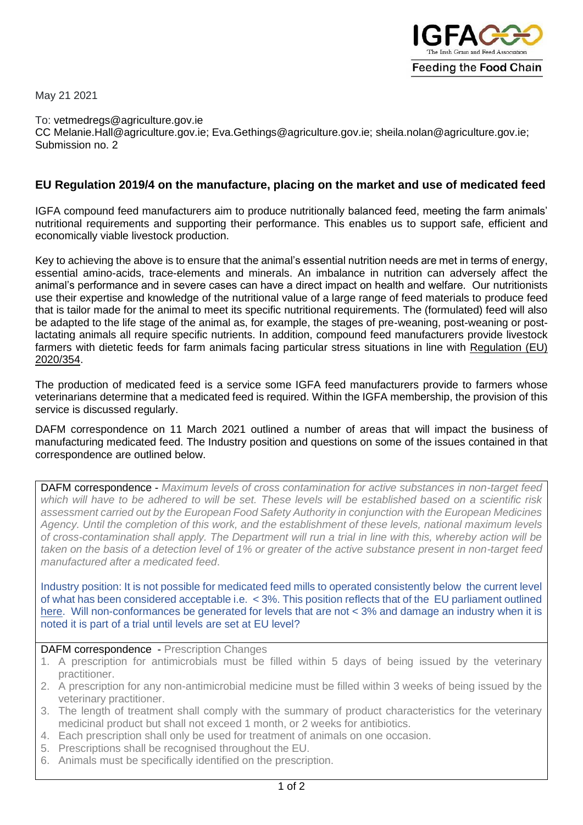

May 21 2021

To: vetmedregs@agriculture.gov.ie CC [Melanie.Hall@agriculture.gov.ie;](mailto:Melanie.Hall@agriculture.gov.ie) [Eva.Gethings@agriculture.gov.ie;](mailto:Eva.Gethings@agriculture.gov.ie) [sheila.nolan@agriculture.gov.ie;](mailto:sheila.nolan@agriculture.gov.ie) Submission no. 2

## **EU Regulation 2019/4 on the manufacture, placing on the market and use of medicated feed**

IGFA compound feed manufacturers aim to produce nutritionally balanced feed, meeting the farm animals' nutritional requirements and supporting their performance. This enables us to support safe, efficient and economically viable livestock production.

Key to achieving the above is to ensure that the animal's essential nutrition needs are met in terms of energy, essential amino-acids, trace-elements and minerals. An imbalance in nutrition can adversely affect the animal's performance and in severe cases can have a direct impact on health and welfare. Our nutritionists use their expertise and knowledge of the nutritional value of a large range of feed materials to produce feed that is tailor made for the animal to meet its specific nutritional requirements. The (formulated) feed will also be adapted to the life stage of the animal as, for example, the stages of pre-weaning, post-weaning or postlactating animals all require specific nutrients. In addition, compound feed manufacturers provide livestock farmers with dietetic feeds for farm animals facing particular stress situations in line with [Regulation \(EU\)](https://eur-lex.europa.eu/legal-content/EN/TXT/PDF/?uri=CELEX:32020R0354&from=en)  [2020/354.](https://eur-lex.europa.eu/legal-content/EN/TXT/PDF/?uri=CELEX:32020R0354&from=en)

The production of medicated feed is a service some IGFA feed manufacturers provide to farmers whose veterinarians determine that a medicated feed is required. Within the IGFA membership, the provision of this service is discussed regularly.

DAFM correspondence on 11 March 2021 outlined a number of areas that will impact the business of manufacturing medicated feed. The Industry position and questions on some of the issues contained in that correspondence are outlined below.

DAFM correspondence - *Maximum levels of cross contamination for active substances in non-target feed which will have to be adhered to will be set. These levels will be established based on a scientific risk assessment carried out by the European Food Safety Authority in conjunction with the European Medicines Agency. Until the completion of this work, and the establishment of these levels, national maximum levels of cross-contamination shall apply. The Department will run a trial in line with this, whereby action will be taken on the basis of a detection level of 1% or greater of the active substance present in non-target feed manufactured after a medicated feed*.

Industry position: It is not possible for medicated feed mills to operated consistently below the current level of what has been considered acceptable i.e. < 3%. This position reflects that of the EU parliament outlined [here.](https://www.europarl.europa.eu/doceo/document/A-8-2016-0075_EN.html?redirect) Will non-conformances be generated for levels that are not < 3% and damage an industry when it is noted it is part of a trial until levels are set at EU level?

## DAFM correspondence - Prescription Changes

- 1. A prescription for antimicrobials must be filled within 5 days of being issued by the veterinary practitioner.
- 2. A prescription for any non-antimicrobial medicine must be filled within 3 weeks of being issued by the veterinary practitioner.
- 3. The length of treatment shall comply with the summary of product characteristics for the veterinary medicinal product but shall not exceed 1 month, or 2 weeks for antibiotics.
- 4. Each prescription shall only be used for treatment of animals on one occasion.
- 5. Prescriptions shall be recognised throughout the EU.
- 6. Animals must be specifically identified on the prescription.